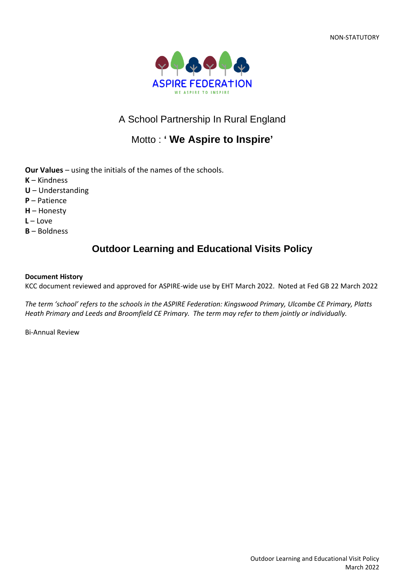

# A School Partnership In Rural England

# Motto : **' We Aspire to Inspire'**

**Our Values** – using the initials of the names of the schools.

- **K** Kindness
- **U** Understanding
- **P** Patience
- **H** Honesty
- **L** Love
- **B** Boldness

## **Outdoor Learning and Educational Visits Policy**

#### **Document History**

KCC document reviewed and approved for ASPIRE-wide use by EHT March 2022. Noted at Fed GB 22 March 2022

*The term 'school' refers to the schools in the ASPIRE Federation: Kingswood Primary, Ulcombe CE Primary, Platts Heath Primary and Leeds and Broomfield CE Primary. The term may refer to them jointly or individually.*

Bi-Annual Review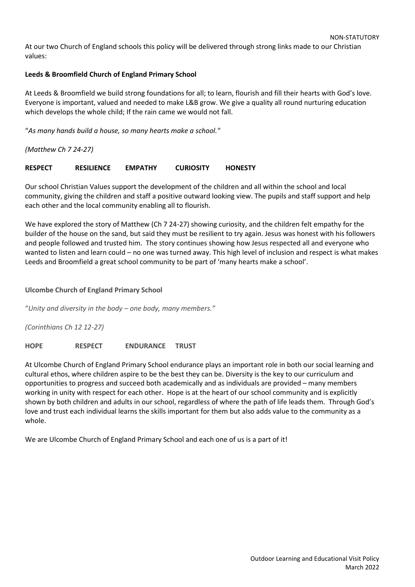At our two Church of England schools this policy will be delivered through strong links made to our Christian values:

#### **Leeds & Broomfield Church of England Primary School**

At Leeds & Broomfield we build strong foundations for all; to learn, flourish and fill their hearts with God's love. Everyone is important, valued and needed to make L&B grow. We give a quality all round nurturing education which develops the whole child; If the rain came we would not fall.

"*As many hands build a house, so many hearts make a school."*

*(Matthew Ch 7 24-27)*

#### **RESPECT RESILIENCE EMPATHY CURIOSITY HONESTY**

Our school Christian Values support the development of the children and all within the school and local community, giving the children and staff a positive outward looking view. The pupils and staff support and help each other and the local community enabling all to flourish.

We have explored the story of Matthew (Ch 7 24-27) showing curiosity, and the children felt empathy for the builder of the house on the sand, but said they must be resilient to try again. Jesus was honest with his followers and people followed and trusted him. The story continues showing how Jesus respected all and everyone who wanted to listen and learn could – no one was turned away. This high level of inclusion and respect is what makes Leeds and Broomfield a great school community to be part of 'many hearts make a school'.

#### **Ulcombe Church of England Primary School**

"*Unity and diversity in the body – one body, many members."*

*(Corinthians Ch 12 12-27)*

**HOPE RESPECT ENDURANCE TRUST**

At Ulcombe Church of England Primary School endurance plays an important role in both our social learning and cultural ethos, where children aspire to be the best they can be. Diversity is the key to our curriculum and opportunities to progress and succeed both academically and as individuals are provided – many members working in unity with respect for each other. Hope is at the heart of our school community and is explicitly shown by both children and adults in our school, regardless of where the path of life leads them. Through God's love and trust each individual learns the skills important for them but also adds value to the community as a whole.

We are Ulcombe Church of England Primary School and each one of us is a part of it!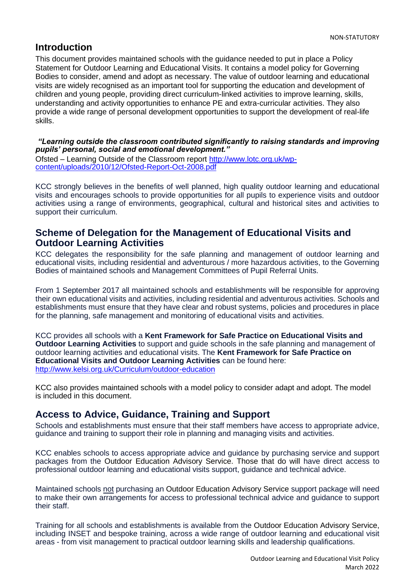## **Introduction**

This document provides maintained schools with the guidance needed to put in place a Policy Statement for Outdoor Learning and Educational Visits. It contains a model policy for Governing Bodies to consider, amend and adopt as necessary. The value of outdoor learning and educational visits are widely recognised as an important tool for supporting the education and development of children and young people, providing direct curriculum-linked activities to improve learning, skills, understanding and activity opportunities to enhance PE and extra-curricular activities. They also provide a wide range of personal development opportunities to support the development of real-life skills.

*"Learning outside the classroom contributed significantly to raising standards and improving pupils' personal, social and emotional development."*

Ofsted – Learning Outside of the Classroom report [http://www.lotc.org.uk/wp](http://www.lotc.org.uk/wp-content/uploads/2010/12/Ofsted-Report-Oct-2008.pdf)[content/uploads/2010/12/Ofsted-Report-Oct-2008.pdf](http://www.lotc.org.uk/wp-content/uploads/2010/12/Ofsted-Report-Oct-2008.pdf)

KCC strongly believes in the benefits of well planned, high quality outdoor learning and educational visits and encourages schools to provide opportunities for all pupils to experience visits and outdoor activities using a range of environments, geographical, cultural and historical sites and activities to support their curriculum.

### **Scheme of Delegation for the Management of Educational Visits and Outdoor Learning Activities**

KCC delegates the responsibility for the safe planning and management of outdoor learning and educational visits, including residential and adventurous / more hazardous activities, to the Governing Bodies of maintained schools and Management Committees of Pupil Referral Units.

From 1 September 2017 all maintained schools and establishments will be responsible for approving their own educational visits and activities, including residential and adventurous activities. Schools and establishments must ensure that they have clear and robust systems, policies and procedures in place for the planning, safe management and monitoring of educational visits and activities.

KCC provides all schools with a **Kent Framework for Safe Practice on Educational Visits and Outdoor Learning Activities** to support and guide schools in the safe planning and management of outdoor learning activities and educational visits. The **Kent Framework for Safe Practice on Educational Visits and Outdoor Learning Activities** can be found here: <http://www.kelsi.org.uk/Curriculum/outdoor-education>

KCC also provides maintained schools with a model policy to consider adapt and adopt. The model is included in this document.

## **Access to Advice, Guidance, Training and Support**

Schools and establishments must ensure that their staff members have access to appropriate advice, guidance and training to support their role in planning and managing visits and activities.

KCC enables schools to access appropriate advice and guidance by purchasing service and support packages from the Outdoor Education Advisory Service. Those that do will have direct access to professional outdoor learning and educational visits support, guidance and technical advice.

Maintained schools not purchasing an Outdoor Education Advisory Service support package will need to make their own arrangements for access to professional technical advice and guidance to support their staff.

Training for all schools and establishments is available from the Outdoor Education Advisory Service, including INSET and bespoke training, across a wide range of outdoor learning and educational visit areas - from visit management to practical outdoor learning skills and leadership qualifications.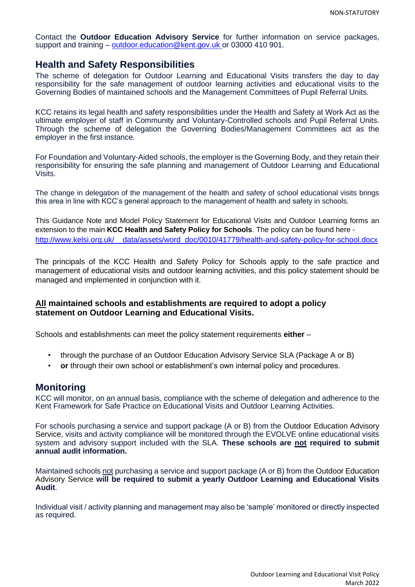Contact the **Outdoor Education Advisory Service** for further information on service packages, support and training – [outdoor.education@kent.gov.uk](mailto:outdoor.education@kent.gov.uk) or 03000 410 901.

### **Health and Safety Responsibilities**

The scheme of delegation for Outdoor Learning and Educational Visits transfers the day to day responsibility for the safe management of outdoor learning activities and educational visits to the Governing Bodies of maintained schools and the Management Committees of Pupil Referral Units.

KCC retains its legal health and safety responsibilities under the Health and Safety at Work Act as the ultimate employer of staff in Community and Voluntary-Controlled schools and Pupil Referral Units. Through the scheme of delegation the Governing Bodies/Management Committees act as the employer in the first instance.

For Foundation and Voluntary-Aided schools, the employer is the Governing Body, and they retain their responsibility for ensuring the safe planning and management of Outdoor Learning and Educational Visits.

The change in delegation of the management of the health and safety of school educational visits brings this area in line with KCC's general approach to the management of health and safety in schools.

This Guidance Note and Model Policy Statement for Educational Visits and Outdoor Learning forms an extension to the main **KCC Health and Safety Policy for Schools**. The policy can be found here [http://www.kelsi.org.uk/\\_\\_data/assets/word\\_doc/0010/41779/health-and-safety-policy-for-school.docx](http://www.kelsi.org.uk/__data/assets/word_doc/0010/41779/health-and-safety-policy-for-school.docx)

The principals of the KCC Health and Safety Policy for Schools apply to the safe practice and management of educational visits and outdoor learning activities, and this policy statement should be managed and implemented in conjunction with it.

#### **All maintained schools and establishments are required to adopt a policy statement on Outdoor Learning and Educational Visits.**

Schools and establishments can meet the policy statement requirements **either** –

- through the purchase of an Outdoor Education Advisory Service SLA (Package A or B)
- **or** through their own school or establishment's own internal policy and procedures.

### **Monitoring**

KCC will monitor, on an annual basis, compliance with the scheme of delegation and adherence to the Kent Framework for Safe Practice on Educational Visits and Outdoor Learning Activities.

For schools purchasing a service and support package (A or B) from the Outdoor Education Advisory Service, visits and activity compliance will be monitored through the EVOLVE online educational visits system and advisory support included with the SLA. **These schools are not required to submit annual audit information.**

Maintained schools not purchasing a service and support package (A or B) from the Outdoor Education Advisory Service **will be required to submit a yearly Outdoor Learning and Educational Visits Audit**.

Individual visit / activity planning and management may also be 'sample' monitored or directly inspected as required.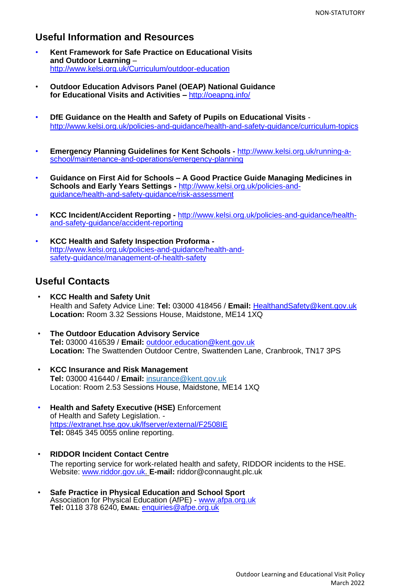### **Useful Information and Resources**

- **Kent Framework for Safe Practice on Educational Visits and Outdoor Learning** – <http://www.kelsi.org.uk/Curriculum/outdoor-education>
- **Outdoor Education Advisors Panel (OEAP) National Guidance for Educational Visits and Activities –** <http://oeapng.info/>
- **DfE Guidance on the Health and Safety of Pupils on Educational Visits** <http://www.kelsi.org.uk/policies-and-guidance/health-and-safety-guidance/curriculum-topics>
- **Emergency Planning Guidelines for Kent Schools -** [http://www.kelsi.org.uk/running-a](http://www.kelsi.org.uk/running-a-school/maintenance-and-operations/emergency-planning)[school/maintenance-and-operations/emergency-planning](http://www.kelsi.org.uk/running-a-school/maintenance-and-operations/emergency-planning)
- **Guidance on First Aid for Schools – A Good Practice Guide Managing Medicines in Schools and Early Years Settings -** [http://www.kelsi.org.uk/policies-and](http://www.kelsi.org.uk/policies-and-guidance/health-and-safety-guidance/risk-assessment)[guidance/health-and-safety-guidance/risk-assessment](http://www.kelsi.org.uk/policies-and-guidance/health-and-safety-guidance/risk-assessment)
- **KCC Incident/Accident Reporting -** [http://www.kelsi.org.uk/policies-and-guidance/health](http://www.kelsi.org.uk/policies-and-guidance/health-and-safety-guidance/accident-reporting)[and-safety-guidance/accident-reporting](http://www.kelsi.org.uk/policies-and-guidance/health-and-safety-guidance/accident-reporting)
- **KCC Health and Safety Inspection Proforma**  [http://www.kelsi.org.uk/policies-and-guidance/health-and](http://www.kelsi.org.uk/policies-and-guidance/health-and-safety-guidance/management-of-health-safety)[safety-guidance/management-of-health-safety](http://www.kelsi.org.uk/policies-and-guidance/health-and-safety-guidance/management-of-health-safety)

### **Useful Contacts**

- **KCC Health and Safety Unit** Health and Safety Advice Line: **Tel:** 03000 418456 / **Email:** [HealthandSafety@kent.gov.uk](mailto:HealthandSafety@kent.gov.uk) **Location:** Room 3.32 Sessions House, Maidstone, ME14 1XQ
- **The Outdoor Education Advisory Service Tel:** 03000 416539 / **Email:** [outdoor.education@kent.gov.uk](mailto:outdoor.education@kent.gov.uk) **Location:** The Swattenden Outdoor Centre, Swattenden Lane, Cranbrook, TN17 3PS
- **KCC Insurance and Risk Management Tel:** 03000 416440 / **Email:** [insurance@kent.gov.uk](mailto:insurance@kent.gov.uk) Location: Room 2.53 Sessions House, Maidstone, ME14 1XQ
- **Health and Safety Executive (HSE)** Enforcement of Health and Safety Legislation. <https://extranet.hse.gov.uk/lfserver/external/F2508IE> **Tel:** 0845 345 0055 online reporting.
- **RIDDOR Incident Contact Centre** The reporting service for work-related health and safety, RIDDOR incidents to the HSE. Website: [www.riddor.gov.uk.](http://www.riddor.gov.uk/) **E-mail:** [riddor@connaught.plc.uk](mailto:riddor@connaught.plc.uk)
- **Safe Practice in Physical Education and School Sport**  Association for Physical Education (AfPE) - www.afpa.org.uk **Tel:** 0118 378 6240, **EMAIL:** [enquiries@afpe.org.uk](mailto:enquiries@afpe.org.uk)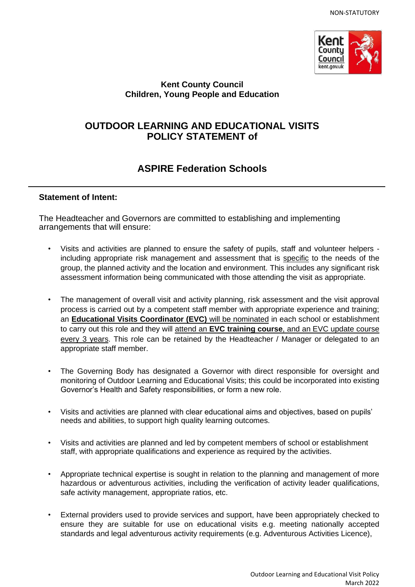

### **Kent County Council Children, Young People and Education**

## **OUTDOOR LEARNING AND EDUCATIONAL VISITS POLICY STATEMENT of**

# **ASPIRE Federation Schools**

### **Statement of Intent:**

The Headteacher and Governors are committed to establishing and implementing arrangements that will ensure:

- Visits and activities are planned to ensure the safety of pupils, staff and volunteer helpers including appropriate risk management and assessment that is specific to the needs of the group, the planned activity and the location and environment. This includes any significant risk assessment information being communicated with those attending the visit as appropriate.
- The management of overall visit and activity planning, risk assessment and the visit approval process is carried out by a competent staff member with appropriate experience and training; an **Educational Visits Coordinator (EVC)** will be nominated in each school or establishment to carry out this role and they will attend an **EVC training course**, and an EVC update course every 3 years. This role can be retained by the Headteacher / Manager or delegated to an appropriate staff member.
- The Governing Body has designated a Governor with direct responsible for oversight and monitoring of Outdoor Learning and Educational Visits; this could be incorporated into existing Governor's Health and Safety responsibilities, or form a new role.
- Visits and activities are planned with clear educational aims and objectives, based on pupils' needs and abilities, to support high quality learning outcomes.
- Visits and activities are planned and led by competent members of school or establishment staff, with appropriate qualifications and experience as required by the activities.
- Appropriate technical expertise is sought in relation to the planning and management of more hazardous or adventurous activities, including the verification of activity leader qualifications, safe activity management, appropriate ratios, etc.
- External providers used to provide services and support, have been appropriately checked to ensure they are suitable for use on educational visits e.g. meeting nationally accepted standards and legal adventurous activity requirements (e.g. Adventurous Activities Licence),